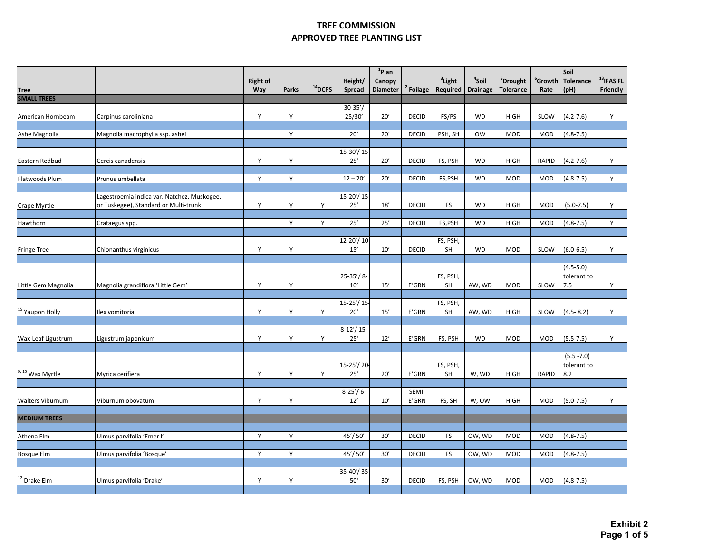|                                         |                                                                                      | <b>Right of</b> |              |           | Height/                | $1$ Plan<br>Canopy |                | <sup>3</sup> Light | <sup>4</sup> Soil | <sup>5</sup> Drought | $^{\rm 6}$ Growth | Soil<br><b>Tolerance</b>            | $^{13}$ IFAS FL |
|-----------------------------------------|--------------------------------------------------------------------------------------|-----------------|--------------|-----------|------------------------|--------------------|----------------|--------------------|-------------------|----------------------|-------------------|-------------------------------------|-----------------|
| <b>Tree</b>                             |                                                                                      | Way             | <b>Parks</b> | $14$ DCPS | <b>Spread</b>          | <b>Diameter</b>    | Foilage        | Required           | <b>Drainage</b>   | <b>Tolerance</b>     | Rate              | (pH)                                | Friendly        |
| <b>SMALL TREES</b><br>American Hornbeam | Carpinus caroliniana                                                                 | Υ               | Y            |           | $30 - 35'$<br>25/30'   | 20'                | <b>DECID</b>   | FS/PS              | <b>WD</b>         | <b>HIGH</b>          | SLOW              | $(4.2 - 7.6)$                       | Y               |
| Ashe Magnolia                           | Magnolia macrophylla ssp. ashei                                                      |                 | Y            |           | 20'                    | 20'                | <b>DECID</b>   | PSH, SH            | <b>OW</b>         | <b>MOD</b>           | MOD               | $(4.8 - 7.5)$                       |                 |
|                                         |                                                                                      |                 |              |           | 15-30'/15              |                    |                |                    |                   |                      |                   |                                     |                 |
| Eastern Redbud                          | Cercis canadensis                                                                    | Y               | Y            |           | 25'                    | 20'                | <b>DECID</b>   | FS, PSH            | <b>WD</b>         | <b>HIGH</b>          | RAPID             | $(4.2 - 7.6)$                       | Y               |
| Flatwoods Plum                          | Prunus umbellata                                                                     | Y               | Y            |           | $12 - 20'$             | 20'                | <b>DECID</b>   | FS,PSH             | <b>WD</b>         | <b>MOD</b>           | <b>MOD</b>        | $(4.8 - 7.5)$                       | Y               |
| Crape Myrtle                            | Lagestroemia indica var. Natchez, Muskogee,<br>or Tuskegee), Standard or Multi-trunk | Y               | Υ            | Y         | 15-20'/15<br>25'       | 18'                | <b>DECID</b>   | <b>FS</b>          | <b>WD</b>         | <b>HIGH</b>          | MOD               | $(5.0 - 7.5)$                       | Υ               |
| Hawthorn                                | Crataegus spp.                                                                       |                 | Y            | Y         | 25'                    | 25'                | <b>DECID</b>   | FS,PSH             | <b>WD</b>         | <b>HIGH</b>          | <b>MOD</b>        | $(4.8 - 7.5)$                       | Y               |
| <b>Fringe Tree</b>                      | Chionanthus virginicus                                                               | Y               | Y            |           | $12 - 20' / 10$<br>15' | 10'                | <b>DECID</b>   | FS, PSH,<br>SH     | <b>WD</b>         | <b>MOD</b>           | SLOW              | $(6.0 - 6.5)$                       | Y               |
| Little Gem Magnolia                     | Magnolia grandiflora 'Little Gem'                                                    | Y               | Υ            |           | $25 - 35'/8$<br>10'    | 15'                | E'GRN          | FS, PSH,<br>SH     | AW, WD            | MOD                  | SLOW              | $(4.5 - 5.0)$<br>tolerant to<br>7.5 | Y               |
| <sup>15</sup> Yaupon Holly              | Ilex vomitoria                                                                       | Y               | Y            | Y         | 15-25'/15<br>20'       | 15'                | E'GRN          | FS, PSH,<br>SH     | AW, WD            | <b>HIGH</b>          | SLOW              | $(4.5 - 8.2)$                       | Y               |
| Wax-Leaf Ligustrum                      | Ligustrum japonicum                                                                  | Υ               | Y            | Y         | $8-12'/15-$<br>25'     | 12'                | E'GRN          | FS, PSH            | <b>WD</b>         | MOD                  | <b>MOD</b>        | $(5.5 - 7.5)$                       | Y               |
| $9, 15$ Wax Myrtle                      | Myrica cerifiera                                                                     | Υ               | Y            | Y         | 15-25'/20<br>25'       | 20'                | E'GRN          | FS, PSH,<br>SH     | W, WD             | <b>HIGH</b>          | RAPID             | $(5.5 - 7.0)$<br>tolerant to<br>8.2 |                 |
| <b>Walters Viburnum</b>                 | Viburnum obovatum                                                                    | Y               | Y            |           | $8-25'/6$ -<br>12'     | 10'                | SEMI-<br>E'GRN | FS, SH             | W, OW             | <b>HIGH</b>          | MOD               | $(5.0 - 7.5)$                       | Y               |
| <b>MEDIUM TREES</b>                     |                                                                                      |                 |              |           |                        |                    |                |                    |                   |                      |                   |                                     |                 |
| Athena Elm                              | Ulmus parvifolia 'Emer l'                                                            | Y               | Y            |           | 45'/50'                | 30'                | <b>DECID</b>   | <b>FS</b>          | OW, WD            | <b>MOD</b>           | <b>MOD</b>        | $(4.8 - 7.5)$                       |                 |
| <b>Bosque Elm</b>                       | Ulmus parvifolia 'Bosque'                                                            | Y               | Υ            |           | 45'/50'                | 30'                | <b>DECID</b>   | <b>FS</b>          | OW, WD            | <b>MOD</b>           | MOD               | $(4.8 - 7.5)$                       |                 |
| $12$ Drake Elm                          | Ulmus parvifolia 'Drake'                                                             | Y               | Y            |           | 35-40'/35<br>50'       | 30'                | <b>DECID</b>   | FS, PSH            | OW, WD            | <b>MOD</b>           | MOD               | $(4.8 - 7.5)$                       |                 |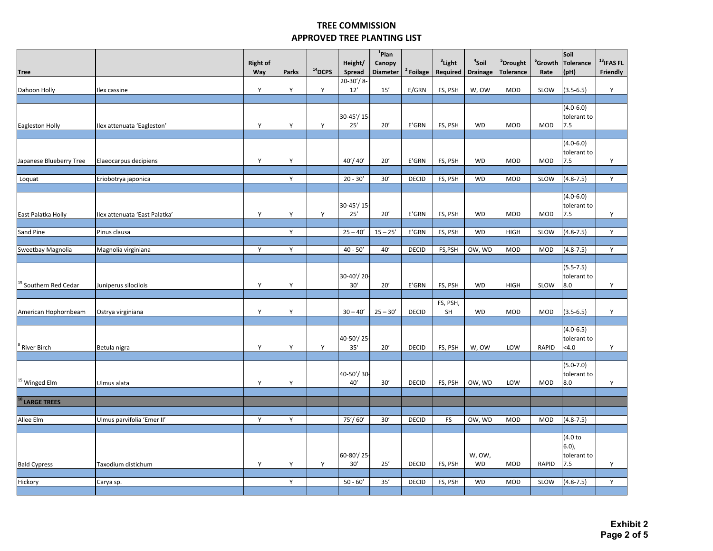|                                  |                               |                        |       |           |                   | $1$ Plan                  |                      |                       |                                      |                                          |                           | Soil                     | $13$ IFAS FL |
|----------------------------------|-------------------------------|------------------------|-------|-----------|-------------------|---------------------------|----------------------|-----------------------|--------------------------------------|------------------------------------------|---------------------------|--------------------------|--------------|
| <b>Tree</b>                      |                               | <b>Right of</b><br>Way | Parks | $14$ DCPS | Height/<br>Spread | Canopy<br><b>Diameter</b> | <sup>2</sup> Foilage | $3$ Light<br>Required | <sup>4</sup> Soil<br><b>Drainage</b> | <sup>5</sup> Drought<br><b>Tolerance</b> | $^{\rm 6}$ Growth<br>Rate | <b>Tolerance</b><br>(PH) | Friendly     |
|                                  |                               |                        |       |           | $20-30'/8$        |                           |                      |                       |                                      |                                          |                           |                          |              |
| Dahoon Holly                     | Ilex cassine                  | Y                      | Υ     | Y         | 12'               | 15'                       | E/GRN                | FS, PSH               | W, OW                                | <b>MOD</b>                               | SLOW                      | $(3.5 - 6.5)$            | Y            |
|                                  |                               |                        |       |           |                   |                           |                      |                       |                                      |                                          |                           |                          |              |
|                                  |                               |                        |       |           |                   |                           |                      |                       |                                      |                                          |                           | $(4.0 - 6.0)$            |              |
|                                  |                               |                        |       |           | 30-45'/15         |                           |                      |                       |                                      |                                          |                           | tolerant to              |              |
| Eagleston Holly                  | Ilex attenuata 'Eagleston'    | Y                      | Υ     | Y         | 25'               | 20'                       | E'GRN                | FS, PSH               | <b>WD</b>                            | <b>MOD</b>                               | MOD                       | 7.5                      |              |
|                                  |                               |                        |       |           |                   |                           |                      |                       |                                      |                                          |                           |                          |              |
|                                  |                               |                        |       |           |                   |                           |                      |                       |                                      |                                          |                           | $(4.0 - 6.0)$            |              |
|                                  |                               |                        |       |           |                   |                           |                      |                       |                                      |                                          |                           | tolerant to              |              |
| Japanese Blueberry Tree          | Elaeocarpus decipiens         | Y                      | Υ     |           | 40'/40'           | 20'                       | E'GRN                | FS, PSH               | <b>WD</b>                            | <b>MOD</b>                               | <b>MOD</b>                | 7.5                      | Y            |
| Loquat                           | Eriobotrya japonica           |                        | Y     |           | $20 - 30'$        | 30'                       | <b>DECID</b>         | FS, PSH               | <b>WD</b>                            | <b>MOD</b>                               | SLOW                      | $(4.8 - 7.5)$            | Y            |
|                                  |                               |                        |       |           |                   |                           |                      |                       |                                      |                                          |                           |                          |              |
|                                  |                               |                        |       |           |                   |                           |                      |                       |                                      |                                          |                           | $(4.0 - 6.0)$            |              |
|                                  |                               |                        |       |           | 30-45'/15-        |                           |                      |                       |                                      |                                          |                           | tolerant to              |              |
| East Palatka Holly               | Ilex attenuata 'East Palatka' | Y                      | Υ     | Y         | 25'               | 20'                       | E'GRN                | FS, PSH               | <b>WD</b>                            | <b>MOD</b>                               | <b>MOD</b>                | 7.5                      | Y            |
|                                  |                               |                        |       |           |                   |                           |                      |                       |                                      |                                          |                           |                          |              |
| Sand Pine                        | Pinus clausa                  |                        | Y     |           | $25 - 40'$        | $15 - 25'$                | E'GRN                | FS, PSH               | <b>WD</b>                            | <b>HIGH</b>                              | SLOW                      | $(4.8 - 7.5)$            | Y            |
|                                  |                               |                        |       |           |                   |                           |                      |                       |                                      |                                          |                           |                          |              |
| Sweetbay Magnolia                | Magnolia virginiana           | Y                      | Y     |           | $40 - 50'$        | $40'$                     | <b>DECID</b>         | FS,PSH                | OW, WD                               | <b>MOD</b>                               | MOD                       | $(4.8 - 7.5)$            | Y            |
|                                  |                               |                        |       |           |                   |                           |                      |                       |                                      |                                          |                           | $(5.5-7.5)$              |              |
|                                  |                               |                        |       |           | 30-40'/20-        |                           |                      |                       |                                      |                                          |                           | tolerant to              |              |
| <sup>15</sup> Southern Red Cedar | Juniperus silocilois          | Y                      | Υ     |           | 30'               | 20'                       | E'GRN                | FS, PSH               | WD                                   | <b>HIGH</b>                              | SLOW                      | 8.0                      | Y            |
|                                  |                               |                        |       |           |                   |                           |                      |                       |                                      |                                          |                           |                          |              |
|                                  |                               |                        |       |           |                   |                           |                      | FS, PSH,              |                                      |                                          |                           |                          |              |
| American Hophornbeam             | Ostrya virginiana             | Y                      | Y     |           | $30 - 40'$        | $25 - 30'$                | <b>DECID</b>         | SH                    | <b>WD</b>                            | <b>MOD</b>                               | <b>MOD</b>                | $(3.5 - 6.5)$            | Y            |
|                                  |                               |                        |       |           |                   |                           |                      |                       |                                      |                                          |                           |                          |              |
|                                  |                               |                        |       |           |                   |                           |                      |                       |                                      |                                          |                           | $(4.0 - 6.5)$            |              |
|                                  |                               |                        |       |           | 40-50'/25         |                           |                      |                       |                                      |                                          |                           | tolerant to              |              |
| River Birch                      | Betula nigra                  | Y                      | Υ     | Y         | 35'               | 20'                       | <b>DECID</b>         | FS, PSH               | W, OW                                | LOW                                      | RAPID                     | $<$ 4.0                  | Y            |
|                                  |                               |                        |       |           |                   |                           |                      |                       |                                      |                                          |                           | $(5.0 - 7.0)$            |              |
|                                  |                               |                        |       |           | 40-50'/30-        |                           |                      |                       |                                      |                                          |                           | tolerant to              |              |
| <sup>15</sup> Winged Elm         | Ulmus alata                   | Y                      | Y     |           | 40'               | 30'                       | <b>DECID</b>         | FS, PSH               | OW, WD                               | LOW                                      | <b>MOD</b>                | 8.0                      | Y            |
|                                  |                               |                        |       |           |                   |                           |                      |                       |                                      |                                          |                           |                          |              |
| <sup>10</sup> LARGE TREES        |                               |                        |       |           |                   |                           |                      |                       |                                      |                                          |                           |                          |              |
|                                  |                               |                        |       |           |                   |                           |                      |                       |                                      |                                          |                           |                          |              |
| Allee Elm                        | Ulmus parvifolia 'Emer II'    | Y                      | Y     |           | 75'/60'           | 30'                       | <b>DECID</b>         | <b>FS</b>             | OW, WD                               | <b>MOD</b>                               | <b>MOD</b>                | $(4.8 - 7.5)$            |              |
|                                  |                               |                        |       |           |                   |                           |                      |                       |                                      |                                          |                           |                          |              |
|                                  |                               |                        |       |           |                   |                           |                      |                       |                                      |                                          |                           | (4.0 to                  |              |
|                                  |                               |                        |       |           |                   |                           |                      |                       |                                      |                                          |                           | $6.0$ ),                 |              |
|                                  |                               |                        |       |           | 60-80'/25-        |                           |                      |                       | W, OW,                               |                                          |                           | tolerant to              |              |
| <b>Bald Cypress</b>              | Taxodium distichum            | Y                      | Y     | Y         | 30'               | 25'                       | DECID                | FS, PSH               | WD                                   | <b>MOD</b>                               | RAPID                     | 7.5                      | Y            |
| Hickory                          | Carya sp.                     |                        | Y     |           | $50 - 60'$        | 35'                       | <b>DECID</b>         | FS, PSH               | WD                                   | <b>MOD</b>                               | SLOW                      | $(4.8 - 7.5)$            | Y            |
|                                  |                               |                        |       |           |                   |                           |                      |                       |                                      |                                          |                           |                          |              |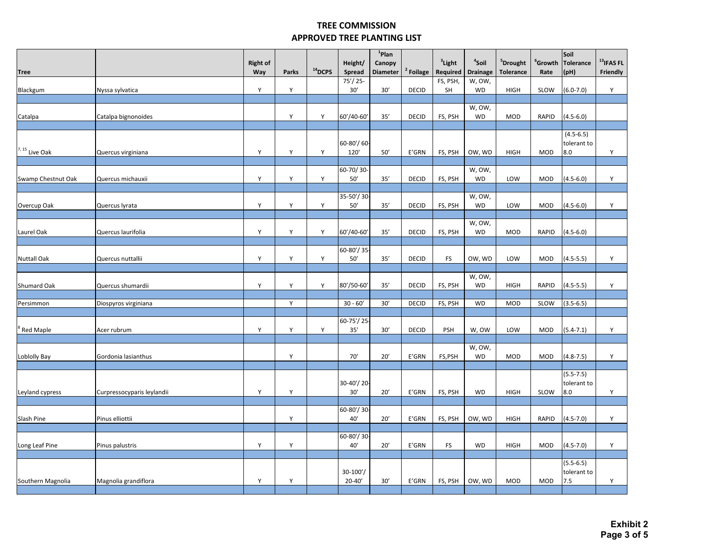|                    |                            | <b>Right of</b> |       |           | Height/                 | $1$ Plan<br>Canopy |                      | <sup>3</sup> Light | <sup>4</sup> Soil   | <sup>5</sup> Drought | $^{\mathrm{6}}$ Growth | Soil<br>Tolerance            | $^{13}$ IFAS FL |
|--------------------|----------------------------|-----------------|-------|-----------|-------------------------|--------------------|----------------------|--------------------|---------------------|----------------------|------------------------|------------------------------|-----------------|
| <b>Tree</b>        |                            | Way             | Parks | $14$ DCPS | Spread                  | <b>Diameter</b>    | <sup>2</sup> Foilage | Required           | <b>Drainage</b>     | <b>Tolerance</b>     | Rate                   | (pH)                         | Friendly        |
| Blackgum           | Nyssa sylvatica            | Υ               | Υ     |           | $75'/25$ -<br>30'       | 30'                | <b>DECID</b>         | FS, PSH,<br>SH     | W, OW,<br><b>WD</b> | <b>HIGH</b>          | SLOW                   | $(6.0 - 7.0)$                | Y               |
|                    |                            |                 |       |           |                         |                    |                      |                    |                     |                      |                        |                              |                 |
|                    |                            |                 |       |           |                         |                    |                      |                    | W, OW,              |                      |                        |                              |                 |
| Catalpa            | Catalpa bignonoides        |                 | Υ     | Y         | 60'/40-60'              | 35'                | <b>DECID</b>         | FS, PSH            | <b>WD</b>           | <b>MOD</b>           | <b>RAPID</b>           | $(4.5 - 6.0)$                |                 |
|                    |                            |                 |       |           |                         |                    |                      |                    |                     |                      |                        | $(4.5 - 6.5)$                |                 |
|                    |                            |                 |       |           | 60-80'/60-              |                    |                      |                    |                     |                      |                        | tolerant to                  |                 |
| $7, 15$ Live Oak   | Quercus virginiana         | Υ               | Υ     | Y         | 120'                    | $50'$              | E'GRN                | FS, PSH            | OW, WD              | <b>HIGH</b>          | <b>MOD</b>             | 8.0                          | Y               |
|                    |                            |                 |       |           | 60-70/30-               |                    |                      |                    | W, OW,              |                      |                        |                              |                 |
| Swamp Chestnut Oak | Quercus michauxii          | Υ               | Y     | Y         | 50'                     | 35'                | <b>DECID</b>         | FS, PSH            | <b>WD</b>           | LOW                  | <b>MOD</b>             | $(4.5 - 6.0)$                | Y               |
|                    |                            |                 |       |           |                         |                    |                      |                    |                     |                      |                        |                              |                 |
| Overcup Oak        | Quercus lyrata             | Y               | Y     | Y         | 35-50'/30<br>50'        | 35'                | <b>DECID</b>         | FS, PSH            | W, OW,<br><b>WD</b> | LOW                  | <b>MOD</b>             | $(4.5 - 6.0)$                | Υ               |
|                    |                            |                 |       |           |                         |                    |                      |                    |                     |                      |                        |                              |                 |
|                    |                            |                 |       |           |                         |                    |                      |                    | W, OW,              |                      |                        |                              |                 |
| Laurel Oak         | Quercus laurifolia         | Υ               | Υ     | Y         | 60'/40-60'              | 35'                | <b>DECID</b>         | FS, PSH            | <b>WD</b>           | <b>MOD</b>           | RAPID                  | $(4.5 - 6.0)$                |                 |
|                    |                            |                 |       |           | 60-80'/35               |                    |                      |                    |                     |                      |                        |                              |                 |
| <b>Nuttall Oak</b> | Quercus nuttallii          | Υ               | Y     | Y         | $50'$                   | 35'                | <b>DECID</b>         | <b>FS</b>          | OW, WD              | LOW                  | MOD                    | $(4.5 - 5.5)$                | Y               |
|                    |                            |                 |       |           |                         |                    |                      |                    |                     |                      |                        |                              |                 |
| Shumard Oak        | Quercus shumardii          | Y               | Y     | Y         | 80'/50-60'              | 35'                | <b>DECID</b>         | FS, PSH            | W, OW,<br><b>WD</b> | <b>HIGH</b>          | RAPID                  | $(4.5 - 5.5)$                | Y               |
|                    |                            |                 |       |           |                         |                    |                      |                    |                     |                      |                        |                              |                 |
| Persimmon          | Diospyros virginiana       |                 | Υ     |           | $30 - 60'$              | 30'                | <b>DECID</b>         | FS, PSH            | <b>WD</b>           | <b>MOD</b>           | SLOW                   | $(3.5 - 6.5)$                |                 |
|                    |                            |                 |       |           | 60-75'/25               |                    |                      |                    |                     |                      |                        |                              |                 |
| Red Maple          | Acer rubrum                | Υ               | Y     | Y         | 35'                     | 30'                | <b>DECID</b>         | <b>PSH</b>         | W, OW               | LOW                  | <b>MOD</b>             | $(5.4 - 7.1)$                | Υ               |
|                    |                            |                 |       |           |                         |                    |                      |                    |                     |                      |                        |                              |                 |
| Loblolly Bay       | Gordonia lasianthus        |                 | Υ     |           | 70'                     | 20'                | E'GRN                | FS,PSH             | W, OW,<br><b>WD</b> | <b>MOD</b>           | MOD                    | $(4.8 - 7.5)$                | Y               |
|                    |                            |                 |       |           |                         |                    |                      |                    |                     |                      |                        |                              |                 |
|                    |                            |                 |       |           |                         |                    |                      |                    |                     |                      |                        | $(5.5 - 7.5)$                |                 |
|                    |                            |                 |       |           | 30-40'/20-              |                    |                      |                    |                     |                      |                        | tolerant to                  |                 |
| Leyland cypress    | Curpressocyparis leylandii | Y               | Υ     |           | 30'                     | 20'                | E'GRN                | FS, PSH            | <b>WD</b>           | <b>HIGH</b>          | SLOW                   | 8.0                          | Y               |
|                    |                            |                 |       |           | 60-80'/30               |                    |                      |                    |                     |                      |                        |                              |                 |
| Slash Pine         | Pinus elliottii            |                 | Υ     |           | 40'                     | 20'                | E'GRN                | FS, PSH            | OW, WD              | <b>HIGH</b>          | RAPID                  | $(4.5 - 7.0)$                | Y               |
|                    |                            |                 |       |           | 60-80'/30               |                    |                      |                    |                     |                      |                        |                              |                 |
| Long Leaf Pine     | Pinus palustris            | Y               | Υ     |           | 40'                     | 20'                | E'GRN                | <b>FS</b>          | <b>WD</b>           | <b>HIGH</b>          | MOD                    | $(4.5 - 7.0)$                | Y               |
|                    |                            |                 |       |           |                         |                    |                      |                    |                     |                      |                        |                              |                 |
|                    |                            |                 |       |           |                         |                    |                      |                    |                     |                      |                        | $(5.5 - 6.5)$<br>tolerant to |                 |
| Southern Magnolia  | Magnolia grandiflora       | Y               | Υ     |           | $30-100'$<br>$20 - 40'$ | 30'                | E'GRN                | FS, PSH            | OW, WD              | <b>MOD</b>           | <b>MOD</b>             | 7.5                          | Y               |
|                    |                            |                 |       |           |                         |                    |                      |                    |                     |                      |                        |                              |                 |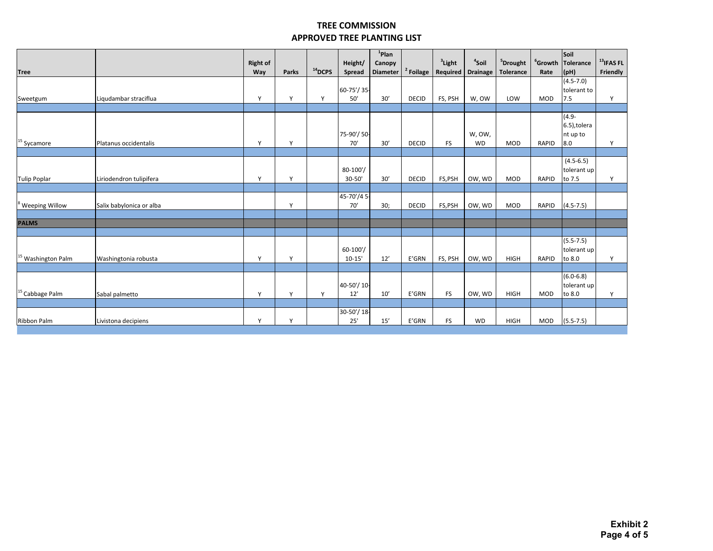|                               |                          | <b>Right of</b> |              |              | Height/            | $1$ Plan                  |              | $3$ Light | <sup>4</sup> Soil | <sup>5</sup> Drought |              | Soil<br><sup>6</sup> Growth Tolerance | $13$ IFAS FL |
|-------------------------------|--------------------------|-----------------|--------------|--------------|--------------------|---------------------------|--------------|-----------|-------------------|----------------------|--------------|---------------------------------------|--------------|
| <b>Tree</b>                   |                          | Way             | Parks        | $14$ DCPS    | Spread             | Canopy<br><b>Diameter</b> | $2$ Foilage  | Required  | <b>Drainage</b>   | <b>Tolerance</b>     | Rate         | (pH)                                  | Friendly     |
|                               |                          |                 |              |              |                    |                           |              |           |                   |                      |              | $(4.5 - 7.0)$                         |              |
|                               |                          |                 |              |              | 60-75'/35-         |                           |              |           |                   |                      |              | tolerant to                           |              |
| Sweetgum                      | Liqudambar straciflua    | Y               | $\checkmark$ | $\mathsf{v}$ | 50'                | 30'                       | <b>DECID</b> | FS, PSH   | W, OW             | LOW                  | <b>MOD</b>   | 7.5                                   | Y            |
|                               |                          |                 |              |              |                    |                           |              |           |                   |                      |              | $(4.9 -$                              |              |
|                               |                          |                 |              |              |                    |                           |              |           |                   |                      |              | 6.5), tolera                          |              |
|                               |                          |                 |              |              | 75-90'/50-         |                           |              |           | W, OW,            |                      |              | nt up to                              |              |
| $15$ Sycamore                 | Platanus occidentalis    | Y               | Y            |              | 70'                | 30'                       | <b>DECID</b> | <b>FS</b> | <b>WD</b>         | <b>MOD</b>           | <b>RAPID</b> | 8.0                                   | Y            |
|                               |                          |                 |              |              |                    |                           |              |           |                   |                      |              |                                       |              |
|                               |                          |                 |              |              |                    |                           |              |           |                   |                      |              | $(4.5 - 6.5)$                         |              |
|                               |                          |                 | $\mathsf{v}$ |              | 80-100'/<br>30-50' | 30'                       | <b>DECID</b> |           |                   | <b>MOD</b>           | <b>RAPID</b> | tolerant up                           | Y            |
| <b>Tulip Poplar</b>           | Liriodendron tulipifera  | Y               |              |              |                    |                           |              | FS,PSH    | OW, WD            |                      |              | to 7.5                                |              |
|                               |                          |                 |              |              | 45-70'/45-         |                           |              |           |                   |                      |              |                                       |              |
| <sup>8</sup> Weeping Willow   | Salix babylonica or alba |                 | $\mathsf{v}$ |              | 70'                | 30;                       | <b>DECID</b> | FS,PSH    | OW, WD            | <b>MOD</b>           | <b>RAPID</b> | $(4.5 - 7.5)$                         |              |
|                               |                          |                 |              |              |                    |                           |              |           |                   |                      |              |                                       |              |
| <b>PALMS</b>                  |                          |                 |              |              |                    |                           |              |           |                   |                      |              |                                       |              |
|                               |                          |                 |              |              |                    |                           |              |           |                   |                      |              |                                       |              |
|                               |                          |                 |              |              | $60-100'$          |                           |              |           |                   |                      |              | $(5.5 - 7.5)$<br>tolerant up          |              |
| <sup>15</sup> Washington Palm | Washingtonia robusta     | Y               | $\vee$       |              | $10 - 15'$         | 12'                       | E'GRN        | FS, PSH   | OW, WD            | <b>HIGH</b>          | <b>RAPID</b> | to 8.0                                | Y            |
|                               |                          |                 |              |              |                    |                           |              |           |                   |                      |              |                                       |              |
|                               |                          |                 |              |              |                    |                           |              |           |                   |                      |              | $(6.0 - 6.8)$                         |              |
|                               |                          |                 |              |              | 40-50'/10-         |                           |              |           |                   |                      |              | tolerant up                           |              |
| <sup>15</sup> Cabbage Palm    | Sabal palmetto           | Y               | $\mathsf{v}$ | Y            | 12'                | 10'                       | E'GRN        | <b>FS</b> | OW, WD            | <b>HIGH</b>          | <b>MOD</b>   | to 8.0                                | v            |
|                               |                          |                 |              |              |                    |                           |              |           |                   |                      |              |                                       |              |
| Ribbon Palm                   | Livistona decipiens      | Y               | $\mathsf{v}$ |              | 30-50'/18-<br>25'  | 15'                       | E'GRN        | <b>FS</b> | <b>WD</b>         | <b>HIGH</b>          | <b>MOD</b>   | $(5.5 - 7.5)$                         |              |
|                               |                          |                 |              |              |                    |                           |              |           |                   |                      |              |                                       |              |